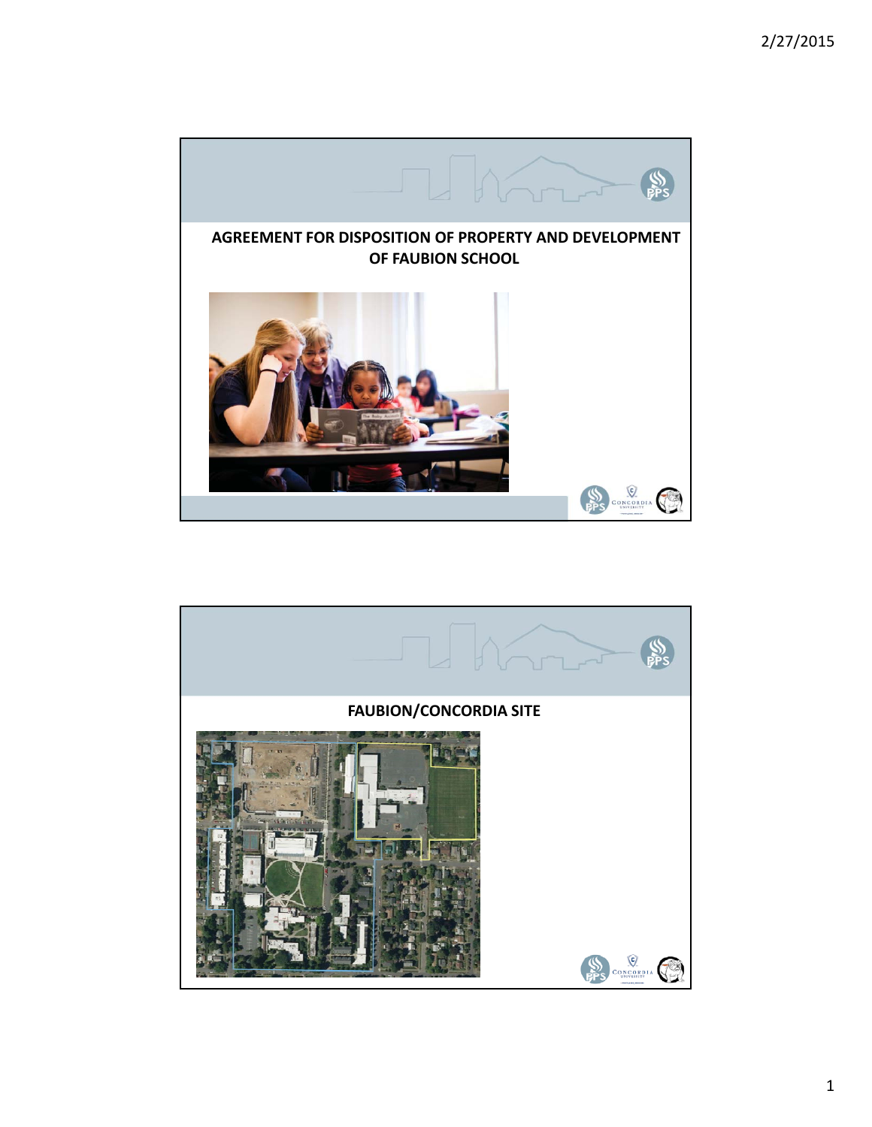

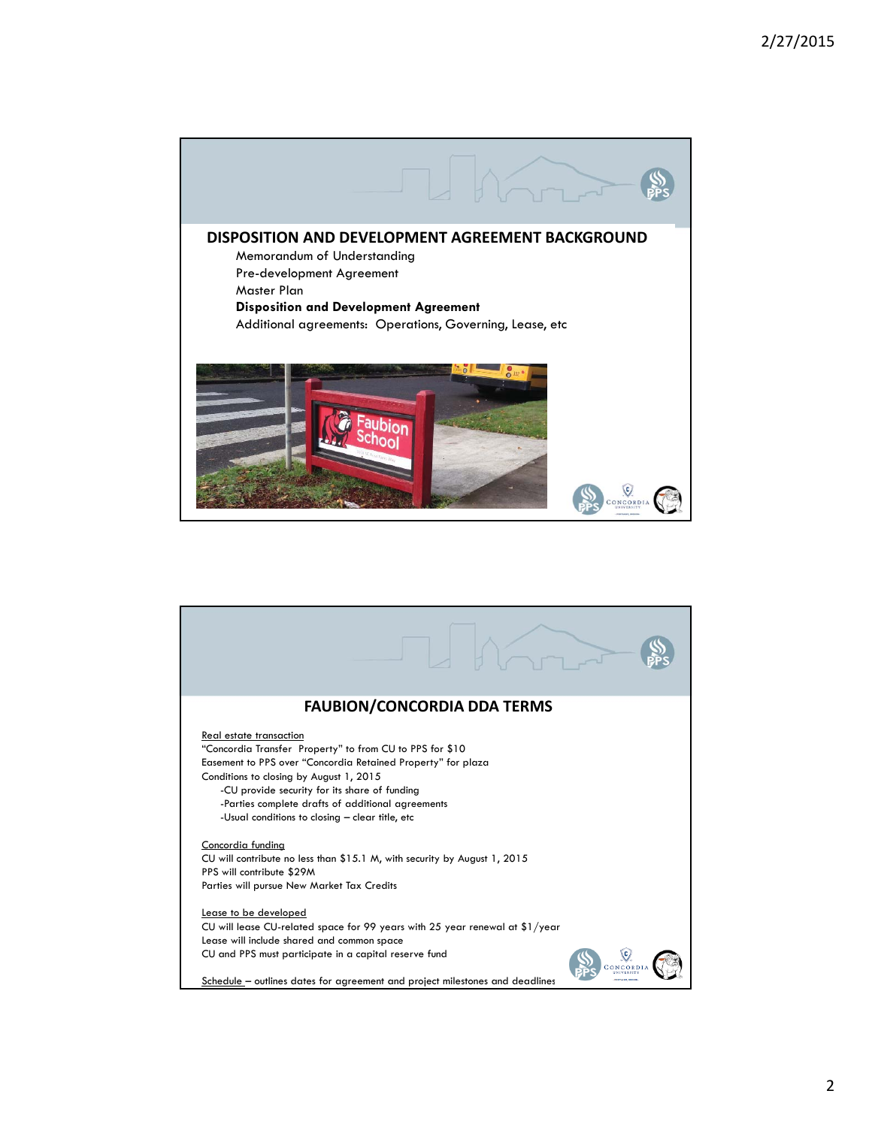

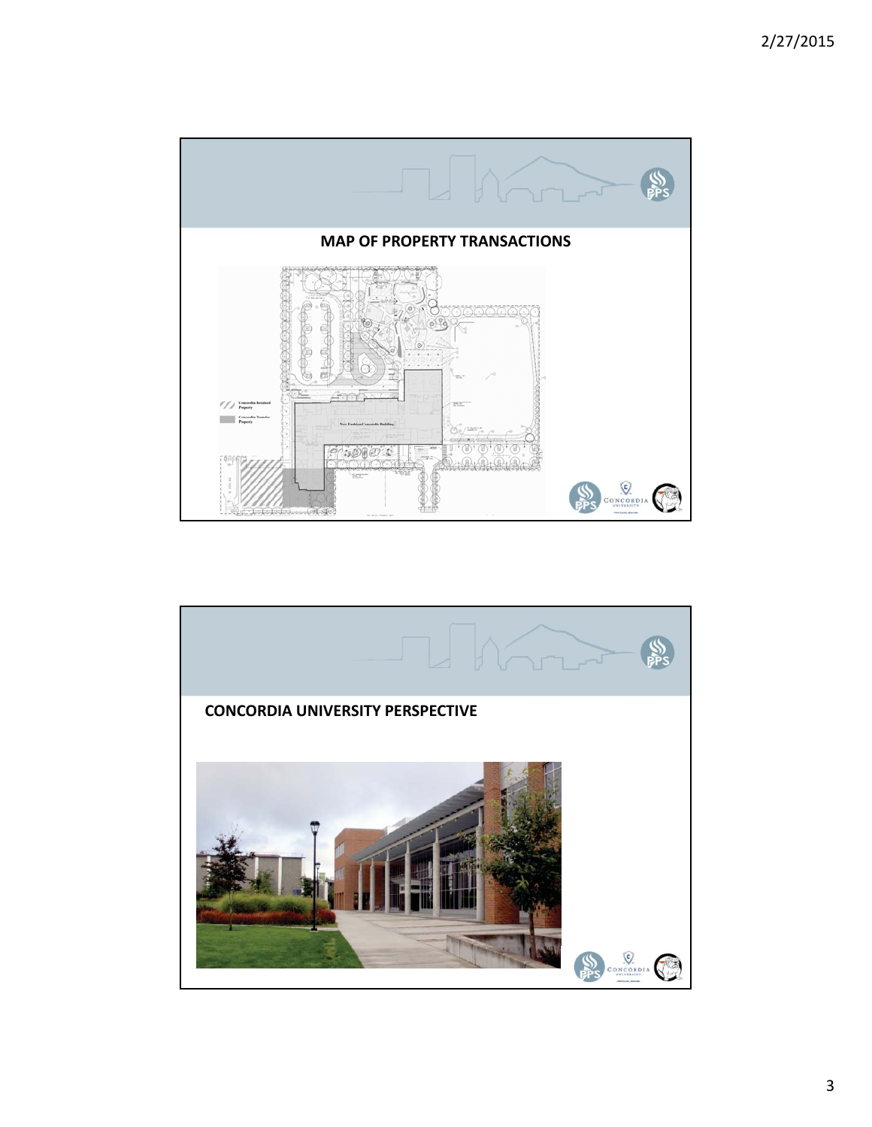

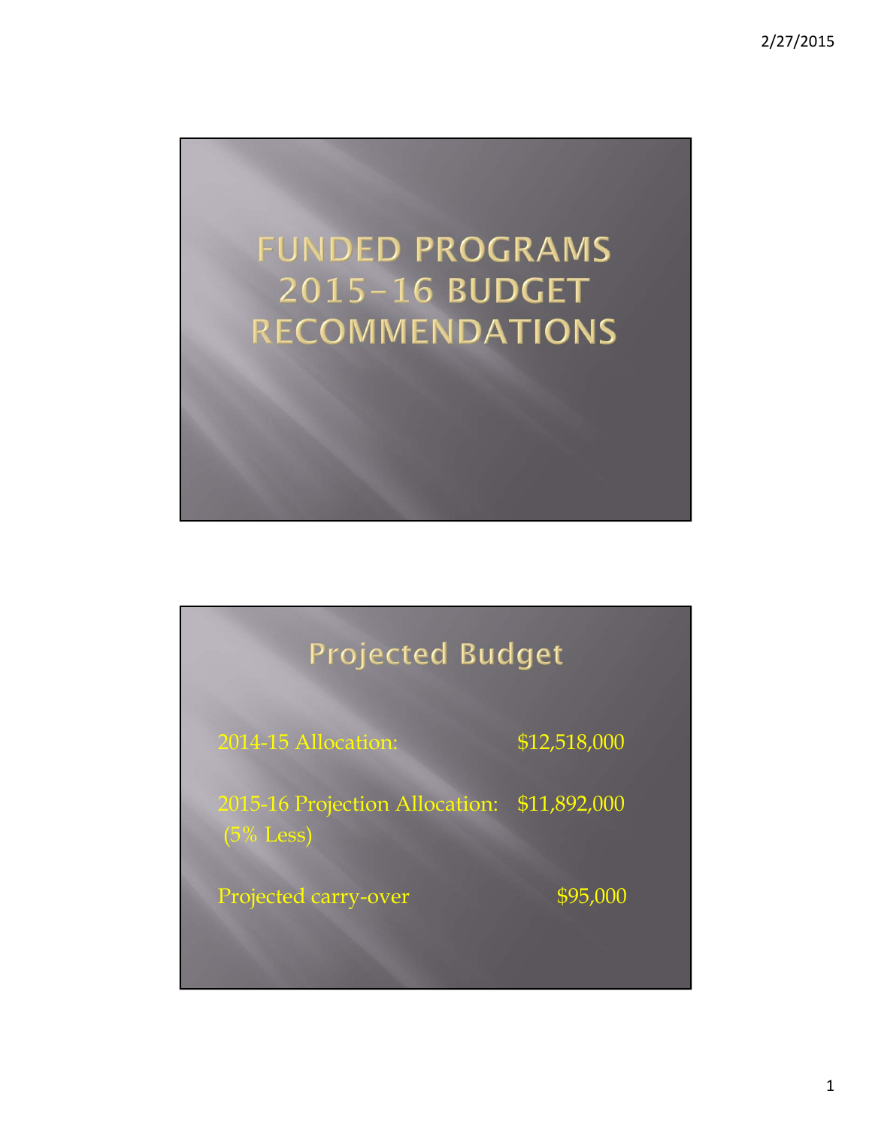



1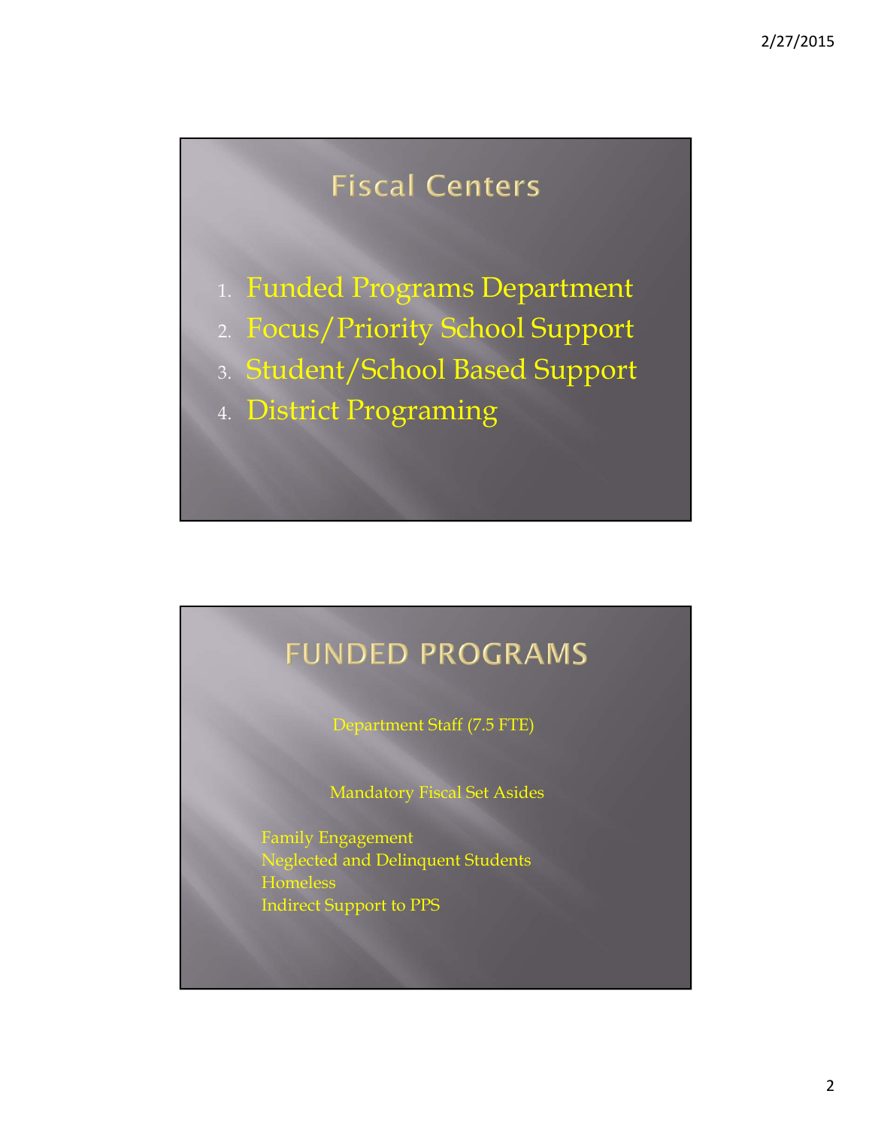# **Fiscal Centers**

1. Funded Programs Department

- 2. Focus/Priority School Support
- 3. Student/School Based Support
- 4. District Programing

# **FUNDED PROGRAMS**

Department Staff (7.5 FTE)

Mandatory Fiscal Set Asides

Family Engagement Neglected and Delinquent Students **Homeless** Indirect Support to PPS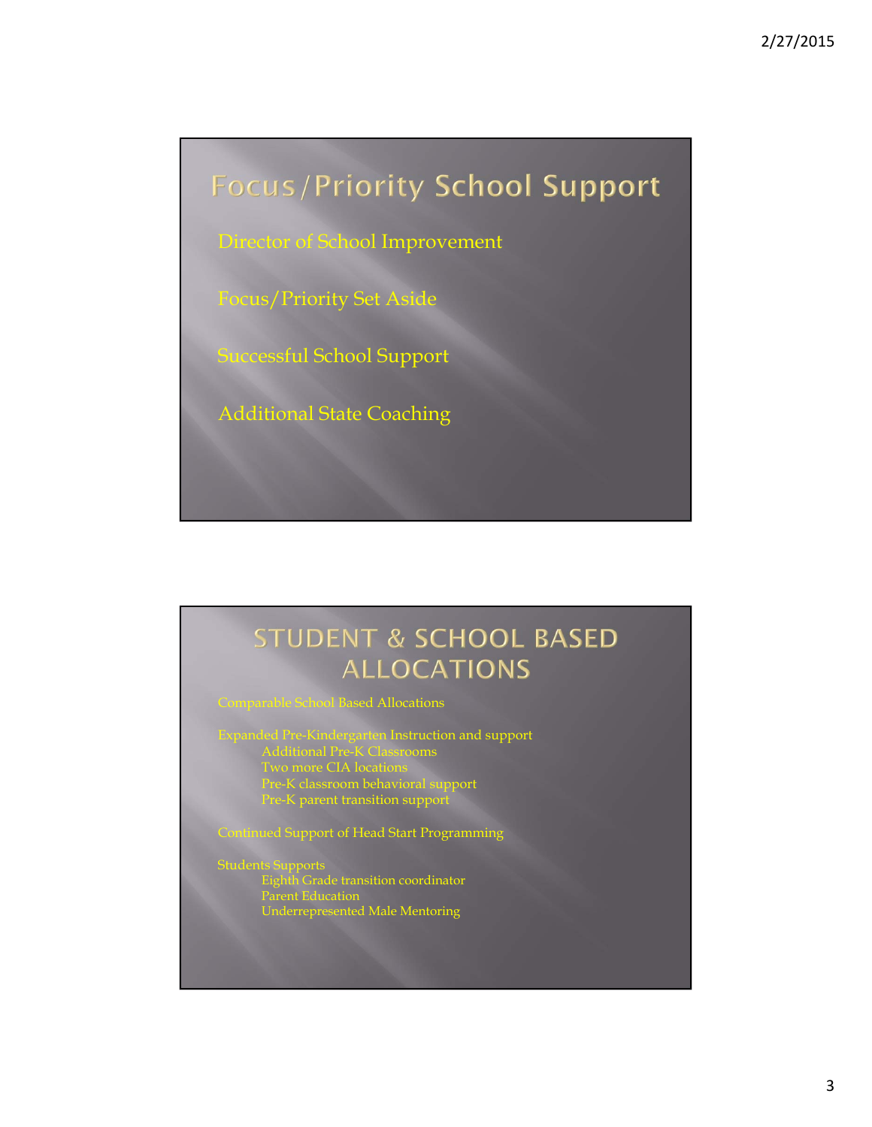# **Focus/Priority School Support**

Director of School Improvement

Focus/Priority Set Aside

Successful School Support

Additional State Coaching

### **STUDENT & SCHOOL BASED ALLOCATIONS**

#### **Imparable School Based Allocations**

Expanded Pre-Kindergarten Instruction and support Additional Pre-K Classrooms Two more CIA locations Pre-K classroom behavioral support Pre-K parent transition support

Continued Support of Head Start Programming

Students Supports Eighth Grade transition coordinator Parent Education Underrepresented Male Mentoring